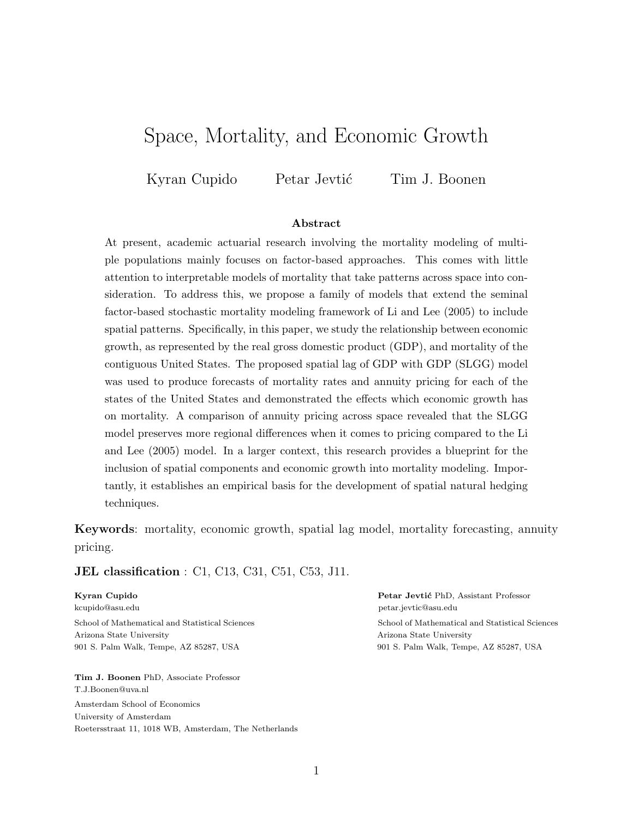# Space, Mortality, and Economic Growth

Kyran Cupido Petar Jevtić Tim J. Boonen

#### Abstract

At present, academic actuarial research involving the mortality modeling of multiple populations mainly focuses on factor-based approaches. This comes with little attention to interpretable models of mortality that take patterns across space into consideration. To address this, we propose a family of models that extend the seminal factor-based stochastic mortality modeling framework of Li and Lee (2005) to include spatial patterns. Specifically, in this paper, we study the relationship between economic growth, as represented by the real gross domestic product (GDP), and mortality of the contiguous United States. The proposed spatial lag of GDP with GDP (SLGG) model was used to produce forecasts of mortality rates and annuity pricing for each of the states of the United States and demonstrated the effects which economic growth has on mortality. A comparison of annuity pricing across space revealed that the SLGG model preserves more regional differences when it comes to pricing compared to the Li and Lee (2005) model. In a larger context, this research provides a blueprint for the inclusion of spatial components and economic growth into mortality modeling. Importantly, it establishes an empirical basis for the development of spatial natural hedging techniques.

Keywords: mortality, economic growth, spatial lag model, mortality forecasting, annuity pricing.

**JEL classification** : C1, C13, C31, C51, C53, J11.

Arizona State University Arizona State University 901 S. Palm Walk, Tempe, AZ 85287, USA 901 S. Palm Walk, Tempe, AZ 85287, USA

Tim J. Boonen PhD, Associate Professor T.J.Boonen@uva.nl Amsterdam School of Economics University of Amsterdam Roetersstraat 11, 1018 WB, Amsterdam, The Netherlands

Kyran Cupido Petar Jevtić PhD, Assistant Professor kcupido@asu.edu petar.jevtic@asu.edu

School of Mathematical and Statistical Sciences School of Mathematical and Statistical Sciences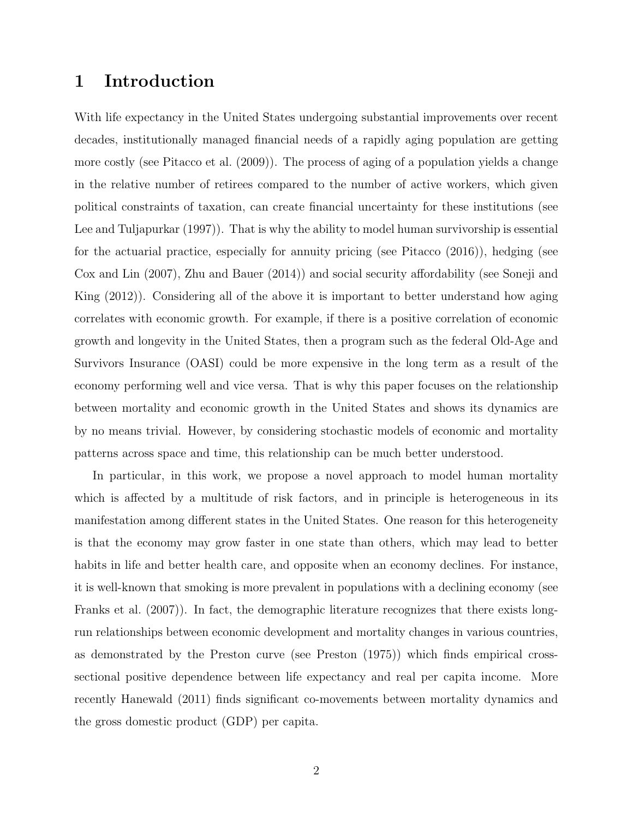#### 1 Introduction

With life expectancy in the United States undergoing substantial improvements over recent decades, institutionally managed financial needs of a rapidly aging population are getting more costly (see Pitacco et al. (2009)). The process of aging of a population yields a change in the relative number of retirees compared to the number of active workers, which given political constraints of taxation, can create financial uncertainty for these institutions (see Lee and Tuljapurkar (1997)). That is why the ability to model human survivorship is essential for the actuarial practice, especially for annuity pricing (see Pitacco (2016)), hedging (see Cox and Lin (2007), Zhu and Bauer (2014)) and social security affordability (see Soneji and King (2012)). Considering all of the above it is important to better understand how aging correlates with economic growth. For example, if there is a positive correlation of economic growth and longevity in the United States, then a program such as the federal Old-Age and Survivors Insurance (OASI) could be more expensive in the long term as a result of the economy performing well and vice versa. That is why this paper focuses on the relationship between mortality and economic growth in the United States and shows its dynamics are by no means trivial. However, by considering stochastic models of economic and mortality patterns across space and time, this relationship can be much better understood.

In particular, in this work, we propose a novel approach to model human mortality which is affected by a multitude of risk factors, and in principle is heterogeneous in its manifestation among different states in the United States. One reason for this heterogeneity is that the economy may grow faster in one state than others, which may lead to better habits in life and better health care, and opposite when an economy declines. For instance, it is well-known that smoking is more prevalent in populations with a declining economy (see Franks et al. (2007)). In fact, the demographic literature recognizes that there exists longrun relationships between economic development and mortality changes in various countries, as demonstrated by the Preston curve (see Preston (1975)) which finds empirical crosssectional positive dependence between life expectancy and real per capita income. More recently Hanewald (2011) finds significant co-movements between mortality dynamics and the gross domestic product (GDP) per capita.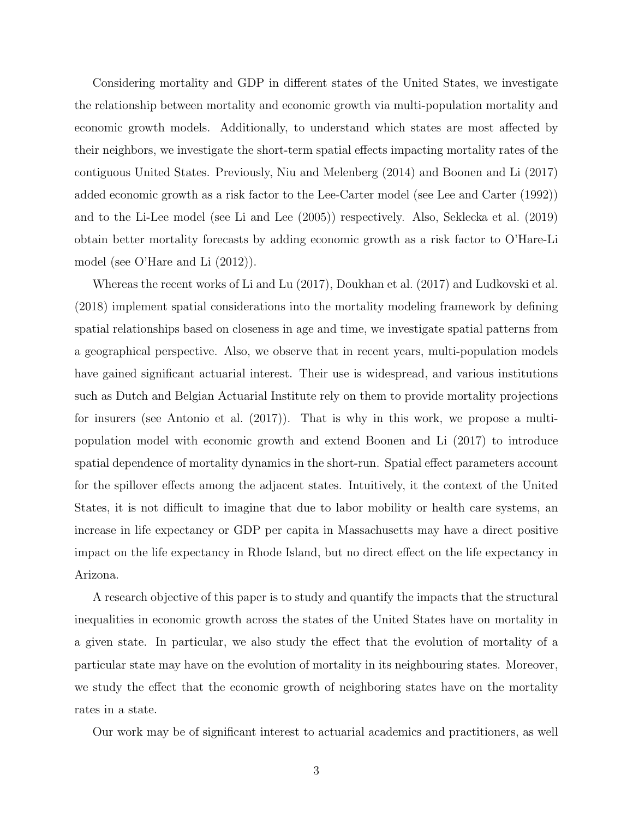Considering mortality and GDP in different states of the United States, we investigate the relationship between mortality and economic growth via multi-population mortality and economic growth models. Additionally, to understand which states are most affected by their neighbors, we investigate the short-term spatial effects impacting mortality rates of the contiguous United States. Previously, Niu and Melenberg (2014) and Boonen and Li (2017) added economic growth as a risk factor to the Lee-Carter model (see Lee and Carter (1992)) and to the Li-Lee model (see Li and Lee (2005)) respectively. Also, Seklecka et al. (2019) obtain better mortality forecasts by adding economic growth as a risk factor to O'Hare-Li model (see O'Hare and Li (2012)).

Whereas the recent works of Li and Lu (2017), Doukhan et al. (2017) and Ludkovski et al. (2018) implement spatial considerations into the mortality modeling framework by defining spatial relationships based on closeness in age and time, we investigate spatial patterns from a geographical perspective. Also, we observe that in recent years, multi-population models have gained significant actuarial interest. Their use is widespread, and various institutions such as Dutch and Belgian Actuarial Institute rely on them to provide mortality projections for insurers (see Antonio et al. (2017)). That is why in this work, we propose a multipopulation model with economic growth and extend Boonen and Li (2017) to introduce spatial dependence of mortality dynamics in the short-run. Spatial effect parameters account for the spillover effects among the adjacent states. Intuitively, it the context of the United States, it is not difficult to imagine that due to labor mobility or health care systems, an increase in life expectancy or GDP per capita in Massachusetts may have a direct positive impact on the life expectancy in Rhode Island, but no direct effect on the life expectancy in Arizona.

A research objective of this paper is to study and quantify the impacts that the structural inequalities in economic growth across the states of the United States have on mortality in a given state. In particular, we also study the effect that the evolution of mortality of a particular state may have on the evolution of mortality in its neighbouring states. Moreover, we study the effect that the economic growth of neighboring states have on the mortality rates in a state.

Our work may be of significant interest to actuarial academics and practitioners, as well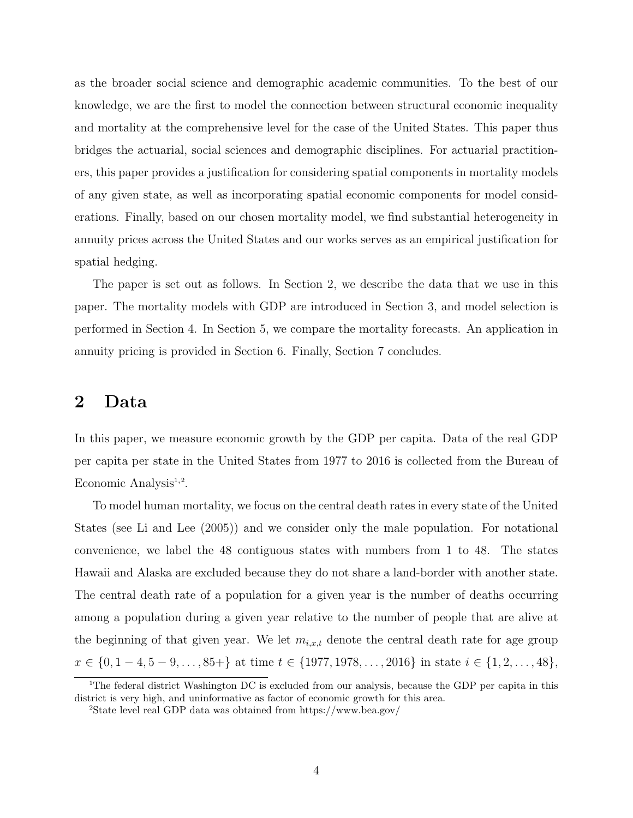as the broader social science and demographic academic communities. To the best of our knowledge, we are the first to model the connection between structural economic inequality and mortality at the comprehensive level for the case of the United States. This paper thus bridges the actuarial, social sciences and demographic disciplines. For actuarial practitioners, this paper provides a justification for considering spatial components in mortality models of any given state, as well as incorporating spatial economic components for model considerations. Finally, based on our chosen mortality model, we find substantial heterogeneity in annuity prices across the United States and our works serves as an empirical justification for spatial hedging.

The paper is set out as follows. In Section 2, we describe the data that we use in this paper. The mortality models with GDP are introduced in Section 3, and model selection is performed in Section 4. In Section 5, we compare the mortality forecasts. An application in annuity pricing is provided in Section 6. Finally, Section 7 concludes.

#### 2 Data

In this paper, we measure economic growth by the GDP per capita. Data of the real GDP per capita per state in the United States from 1977 to 2016 is collected from the Bureau of Economic Analysis<sup>1,2</sup>.

To model human mortality, we focus on the central death rates in every state of the United States (see Li and Lee (2005)) and we consider only the male population. For notational convenience, we label the 48 contiguous states with numbers from 1 to 48. The states Hawaii and Alaska are excluded because they do not share a land-border with another state. The central death rate of a population for a given year is the number of deaths occurring among a population during a given year relative to the number of people that are alive at the beginning of that given year. We let  $m_{i,x,t}$  denote the central death rate for age group  $x \in \{0, 1-4, 5-9, \ldots, 85+\}\$ at time  $t \in \{1977, 1978, \ldots, 2016\}\$ in state  $i \in \{1, 2, \ldots, 48\}\$ 

<sup>&</sup>lt;sup>1</sup>The federal district Washington DC is excluded from our analysis, because the GDP per capita in this district is very high, and uninformative as factor of economic growth for this area.

<sup>2</sup>State level real GDP data was obtained from https://www.bea.gov/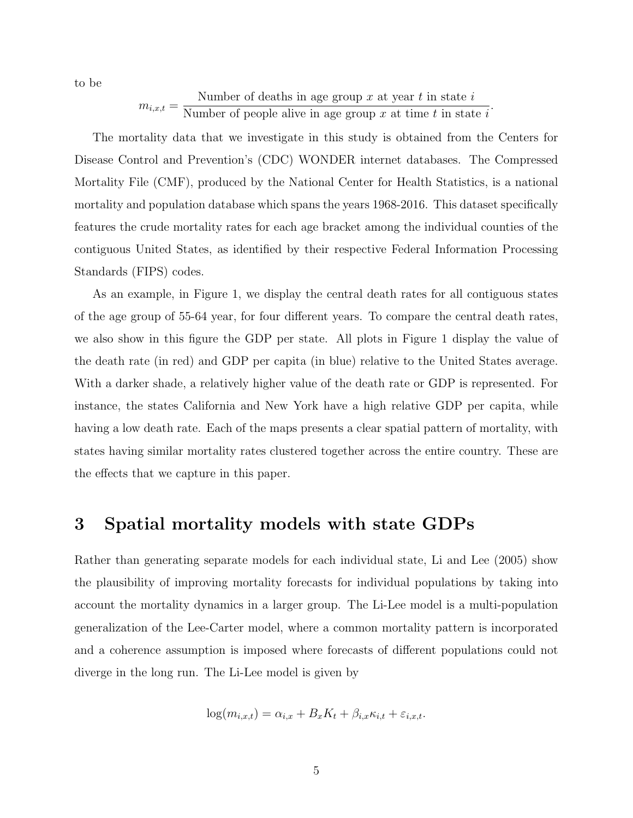to be

$$
m_{i,x,t} = \frac{\text{Number of deaths in age group } x \text{ at year } t \text{ in state } i}{\text{Number of people alive in age group } x \text{ at time } t \text{ in state } i}
$$

.

The mortality data that we investigate in this study is obtained from the Centers for Disease Control and Prevention's (CDC) WONDER internet databases. The Compressed Mortality File (CMF), produced by the National Center for Health Statistics, is a national mortality and population database which spans the years 1968-2016. This dataset specifically features the crude mortality rates for each age bracket among the individual counties of the contiguous United States, as identified by their respective Federal Information Processing Standards (FIPS) codes.

As an example, in Figure 1, we display the central death rates for all contiguous states of the age group of 55-64 year, for four different years. To compare the central death rates, we also show in this figure the GDP per state. All plots in Figure 1 display the value of the death rate (in red) and GDP per capita (in blue) relative to the United States average. With a darker shade, a relatively higher value of the death rate or GDP is represented. For instance, the states California and New York have a high relative GDP per capita, while having a low death rate. Each of the maps presents a clear spatial pattern of mortality, with states having similar mortality rates clustered together across the entire country. These are the effects that we capture in this paper.

#### 3 Spatial mortality models with state GDPs

Rather than generating separate models for each individual state, Li and Lee (2005) show the plausibility of improving mortality forecasts for individual populations by taking into account the mortality dynamics in a larger group. The Li-Lee model is a multi-population generalization of the Lee-Carter model, where a common mortality pattern is incorporated and a coherence assumption is imposed where forecasts of different populations could not diverge in the long run. The Li-Lee model is given by

$$
\log(m_{i,x,t}) = \alpha_{i,x} + B_x K_t + \beta_{i,x} \kappa_{i,t} + \varepsilon_{i,x,t}.
$$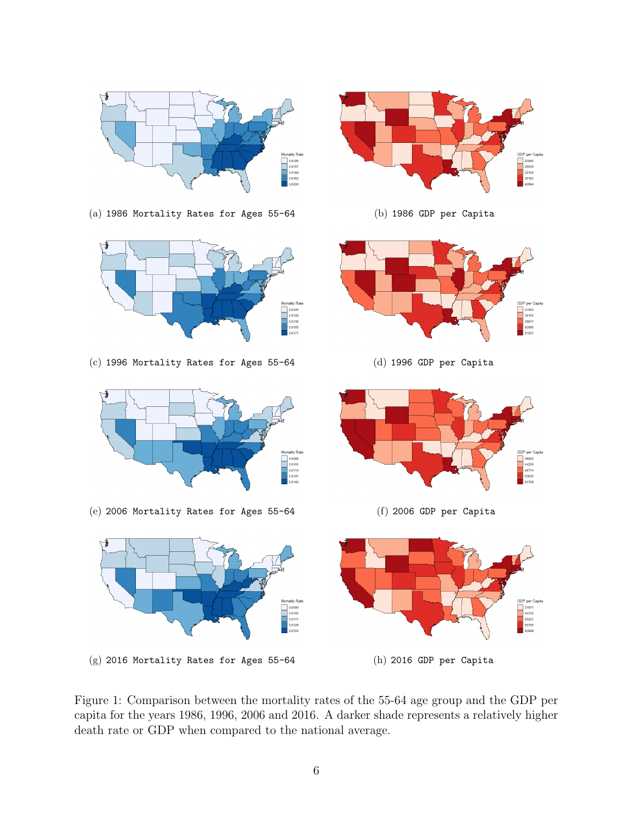

Figure 1: Comparison between the mortality rates of the 55-64 age group and the GDP per capita for the years 1986, 1996, 2006 and 2016. A darker shade represents a relatively higher death rate or GDP when compared to the national average.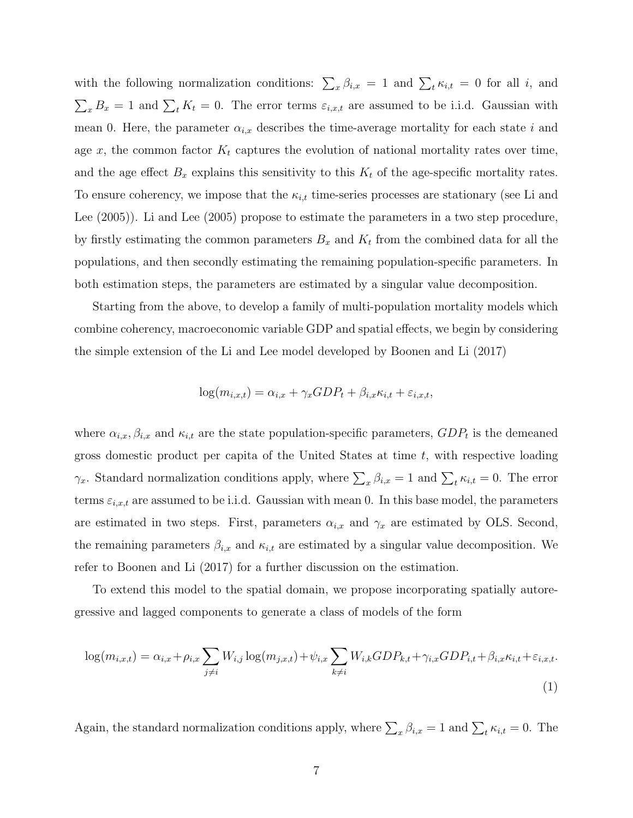with the following normalization conditions:  $\sum_{x} \beta_{i,x} = 1$  and  $\sum_{t} \kappa_{i,t} = 0$  for all i, and  $\sum_{x} B_x = 1$  and  $\sum_{t} K_t = 0$ . The error terms  $\varepsilon_{i,x,t}$  are assumed to be i.i.d. Gaussian with mean 0. Here, the parameter  $\alpha_{i,x}$  describes the time-average mortality for each state i and age x, the common factor  $K_t$  captures the evolution of national mortality rates over time, and the age effect  $B_x$  explains this sensitivity to this  $K_t$  of the age-specific mortality rates. To ensure coherency, we impose that the  $\kappa_{i,t}$  time-series processes are stationary (see Li and Lee (2005)). Li and Lee (2005) propose to estimate the parameters in a two step procedure, by firstly estimating the common parameters  $B_x$  and  $K_t$  from the combined data for all the populations, and then secondly estimating the remaining population-specific parameters. In both estimation steps, the parameters are estimated by a singular value decomposition.

Starting from the above, to develop a family of multi-population mortality models which combine coherency, macroeconomic variable GDP and spatial effects, we begin by considering the simple extension of the Li and Lee model developed by Boonen and Li (2017)

$$
\log(m_{i,x,t}) = \alpha_{i,x} + \gamma_x GDP_t + \beta_{i,x} \kappa_{i,t} + \varepsilon_{i,x,t},
$$

where  $\alpha_{i,x}, \beta_{i,x}$  and  $\kappa_{i,t}$  are the state population-specific parameters,  $GDP_t$  is the demeaned gross domestic product per capita of the United States at time  $t$ , with respective loading  $\gamma_x$ . Standard normalization conditions apply, where  $\sum_x \beta_{i,x} = 1$  and  $\sum_t \kappa_{i,t} = 0$ . The error terms  $\varepsilon_{i,x,t}$  are assumed to be i.i.d. Gaussian with mean 0. In this base model, the parameters are estimated in two steps. First, parameters  $\alpha_{i,x}$  and  $\gamma_x$  are estimated by OLS. Second, the remaining parameters  $\beta_{i,x}$  and  $\kappa_{i,t}$  are estimated by a singular value decomposition. We refer to Boonen and Li (2017) for a further discussion on the estimation.

To extend this model to the spatial domain, we propose incorporating spatially autoregressive and lagged components to generate a class of models of the form

$$
\log(m_{i,x,t}) = \alpha_{i,x} + \rho_{i,x} \sum_{j \neq i} W_{i,j} \log(m_{j,x,t}) + \psi_{i,x} \sum_{k \neq i} W_{i,k} GDP_{k,t} + \gamma_{i,x} GDP_{i,t} + \beta_{i,x} \kappa_{i,t} + \varepsilon_{i,x,t}.
$$
\n(1)

Again, the standard normalization conditions apply, where  $\sum_{x} \beta_{i,x} = 1$  and  $\sum_{t} \kappa_{i,t} = 0$ . The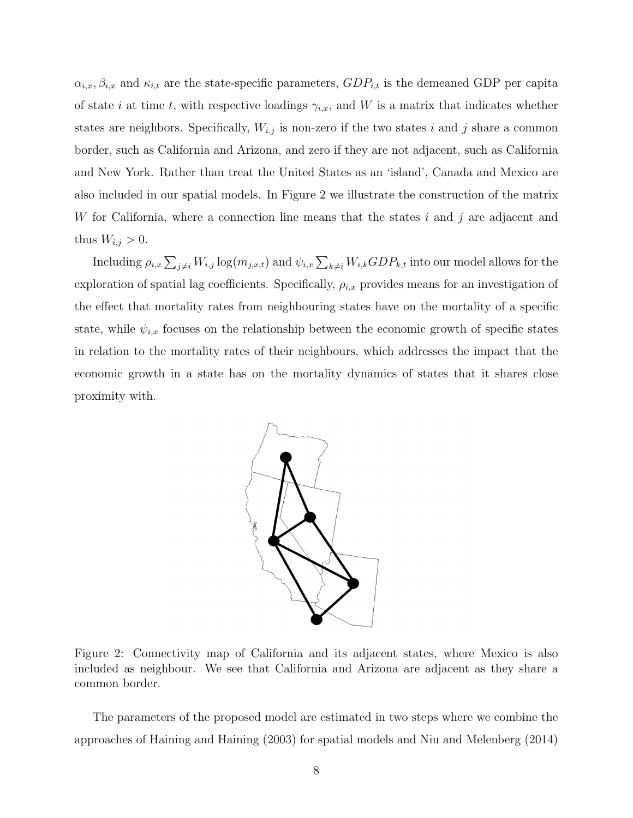$\alpha_{i,x}, \beta_{i,x}$  and  $\kappa_{i,t}$  are the state-specific parameters,  $GDP_{i,t}$  is the demeaned GDP per capita of state i at time t, with respective loadings  $\gamma_{i,x}$ , and W is a matrix that indicates whether states are neighbors. Specifically,  $W_{i,j}$  is non-zero if the two states i and j share a common border, such as California and Arizona, and zero if they are not adjacent, such as California and New York. Rather than treat the United States as an 'island', Canada and Mexico are also included in our spatial models. In Figure 2 we illustrate the construction of the matrix W for California, where a connection line means that the states i and j are adjacent and thus  $W_{i,j} > 0$ .

Including  $\rho_{i,x} \sum_{j\neq i} W_{i,j} \log(m_{j,x,t})$  and  $\psi_{i,x} \sum_{k\neq i} W_{i,k} GDP_{k,t}$  into our model allows for the exploration of spatial lag coefficients. Specifically,  $\rho_{i,x}$  provides means for an investigation of the effect that mortality rates from neighbouring states have on the mortality of a specific state, while  $\psi_{i,x}$  focuses on the relationship between the economic growth of specific states in relation to the mortality rates of their neighbours, which addresses the impact that the economic growth in a state has on the mortality dynamics of states that it shares close proximity with.



Figure 2: Connectivity map of California and its adjacent states, where Mexico is also included as neighbour. We see that California and Arizona are adjacent as they share a common border.

The parameters of the proposed model are estimated in two steps where we combine the approaches of Haining and Haining (2003) for spatial models and Niu and Melenberg (2014)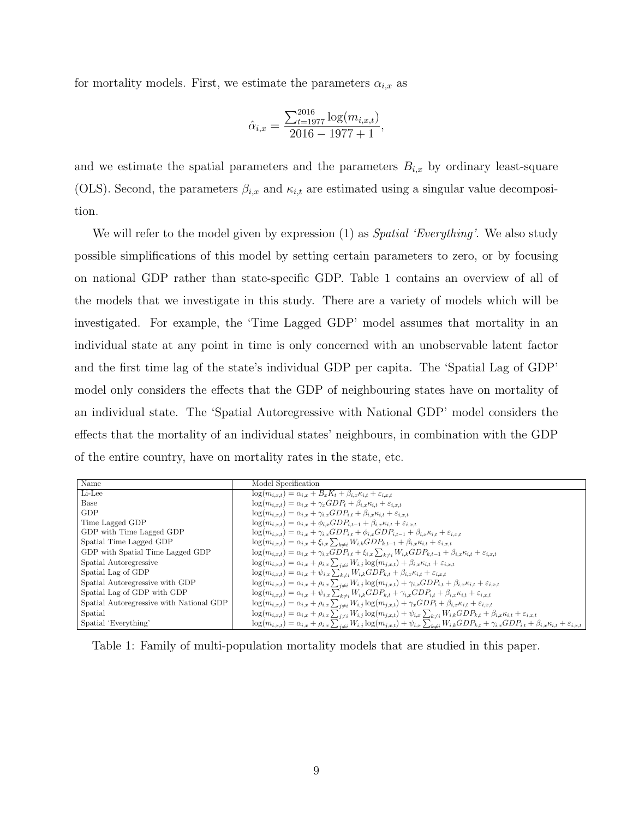for mortality models. First, we estimate the parameters  $\alpha_{i,x}$  as

$$
\hat{\alpha}_{i,x} = \frac{\sum_{t=1977}^{2016} \log(m_{i,x,t})}{2016 - 1977 + 1},
$$

and we estimate the spatial parameters and the parameters  $B_{i,x}$  by ordinary least-square (OLS). Second, the parameters  $\beta_{i,x}$  and  $\kappa_{i,t}$  are estimated using a singular value decomposition.

We will refer to the model given by expression (1) as *Spatial 'Everything'*. We also study possible simplifications of this model by setting certain parameters to zero, or by focusing on national GDP rather than state-specific GDP. Table 1 contains an overview of all of the models that we investigate in this study. There are a variety of models which will be investigated. For example, the 'Time Lagged GDP' model assumes that mortality in an individual state at any point in time is only concerned with an unobservable latent factor and the first time lag of the state's individual GDP per capita. The 'Spatial Lag of GDP' model only considers the effects that the GDP of neighbouring states have on mortality of an individual state. The 'Spatial Autoregressive with National GDP' model considers the effects that the mortality of an individual states' neighbours, in combination with the GDP of the entire country, have on mortality rates in the state, etc.

| Name                                                 | Model Specification                                                                                                                                                                                          |
|------------------------------------------------------|--------------------------------------------------------------------------------------------------------------------------------------------------------------------------------------------------------------|
| Li-Lee                                               | $\log(m_{i,x,t}) = \alpha_{i,x} + B_x K_t + \beta_{i,x} \kappa_{i,t} + \varepsilon_{i,x,t}$                                                                                                                  |
| <b>Base</b>                                          | $\log(m_{i,x,t}) = \alpha_{i,x} + \gamma_x GDP_t + \beta_{i,x} \kappa_{i,t} + \varepsilon_{i,x,t}$                                                                                                           |
| GDP                                                  | $\log(m_{i,x,t}) = \alpha_{i,x} + \gamma_{i,x} GDP_{i,t} + \beta_{i,x} \kappa_{i,t} + \varepsilon_{i,x,t}$                                                                                                   |
| Time Lagged GDP                                      | $log(m_{i,x,t}) = \alpha_{i,x} + \phi_{i,x} GDP_{i,t-1} + \beta_{i,x} \kappa_{i,t} + \varepsilon_{i,x,t}$                                                                                                    |
| ${\rm GDP}$ with ${\rm Time}$ Lagged ${\rm GDP}$     | $\log(m_{i,x,t}) = \alpha_{i,x} + \gamma_{i,x} GDP_{i,t} + \phi_{i,x} GDP_{i,t-1} + \beta_{i,x} \kappa_{i,t} + \varepsilon_{i,x,t}$                                                                          |
| Spatial Time Lagged GDP                              | $log(m_{i,x,t}) = \alpha_{i,x} + \xi_{i,x} \sum_{k \neq i} W_{i,k} GDP_{k,t-1} + \beta_{i,x} \kappa_{i,t} + \varepsilon_{i,x,t}$                                                                             |
| GDP with Spatial Time Lagged GDP                     | $\log(m_{i,x,t}) = \alpha_{i,x} + \gamma_{i,x} GDP_{i,t} + \xi_{i,x} \sum_{k \neq i} W_{i,k} GDP_{k,t-1} + \beta_{i,x} \kappa_{i,t} + \varepsilon_{i,x,t}$                                                   |
| Spatial Autoregressive                               | $\log(m_{i,x,t}) = \alpha_{i,x} + \rho_{i,x} \sum_{j \neq i} W_{i,j} \log(m_{j,x,t}) + \beta_{i,x} \kappa_{i,t} + \varepsilon_{i,x,t}$                                                                       |
| Spatial Lag of GDP                                   | $\log(m_{i,x,t}) = \alpha_{i,x} + \psi_{i,x} \sum_{k \neq i} W_{i,k} GDP_{k,t} + \beta_{i,x} \kappa_{i,t} + \varepsilon_{i,x,t}$                                                                             |
| Spatial Autoregressive with GDP                      | $\log(m_{i,x,t}) = \alpha_{i,x} + \rho_{i,x} \sum_{j \neq i} W_{i,j} \log(m_{j,x,t}) + \gamma_{i,x} GDP_{i,t} + \beta_{i,x} \kappa_{i,t} + \varepsilon_{i,x,t}$                                              |
| Spatial Lag of GDP with $\operatorname{GDP}$         | $\log(m_{i,x,t}) = \alpha_{i,x} + \psi_{i,x} \sum_{k \neq i} W_{i,k} GDP_{k,t} + \gamma_{i,x} GDP_{i,t} + \beta_{i,x} \kappa_{i,t} + \varepsilon_{i,x,t}$                                                    |
| Spatial Autoreg<br>ressive with National ${\rm GDP}$ | $\log(m_{i,x,t}) = \alpha_{i,x} + \rho_{i,x} \sum_{j \neq i} W_{i,j} \log(m_{j,x,t}) + \gamma_x GDP_t + \beta_{i,x} \kappa_{i,t} + \varepsilon_{i,x,t}$                                                      |
| Spatial                                              | $\log(m_{i,x,t}) = \alpha_{i,x} + \rho_{i,x} \sum_{j \neq i} W_{i,j} \log(m_{j,x,t}) + \psi_{i,x} \sum_{k \neq i} W_{i,k} GDP_{k,t} + \beta_{i,x} \kappa_{i,t} + \varepsilon_{i,x,t}$                        |
| Spatial 'Everything'                                 | $\log(m_{i,x,t}) = \alpha_{i,x} + \rho_{i,x} \sum_{j\neq i} W_{i,j} \log(m_{j,x,t}) + \psi_{i,x} \sum_{k\neq i} W_{i,k} GDP_{k,t} + \gamma_{i,x} GDP_{i,t} + \beta_{i,x} \kappa_{i,t} + \varepsilon_{i,x,t}$ |

Table 1: Family of multi-population mortality models that are studied in this paper.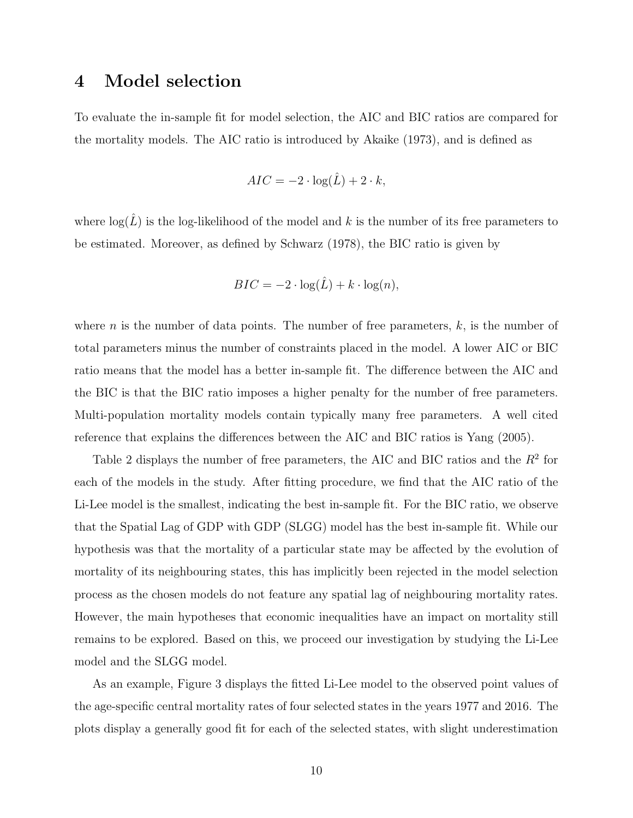#### 4 Model selection

To evaluate the in-sample fit for model selection, the AIC and BIC ratios are compared for the mortality models. The AIC ratio is introduced by Akaike (1973), and is defined as

$$
AIC = -2 \cdot \log(\hat{L}) + 2 \cdot k,
$$

where  $\log(\hat{L})$  is the log-likelihood of the model and k is the number of its free parameters to be estimated. Moreover, as defined by Schwarz (1978), the BIC ratio is given by

$$
BIC = -2 \cdot \log(\hat{L}) + k \cdot \log(n),
$$

where *n* is the number of data points. The number of free parameters,  $k$ , is the number of total parameters minus the number of constraints placed in the model. A lower AIC or BIC ratio means that the model has a better in-sample fit. The difference between the AIC and the BIC is that the BIC ratio imposes a higher penalty for the number of free parameters. Multi-population mortality models contain typically many free parameters. A well cited reference that explains the differences between the AIC and BIC ratios is Yang (2005).

Table 2 displays the number of free parameters, the AIC and BIC ratios and the  $R^2$  for each of the models in the study. After fitting procedure, we find that the AIC ratio of the Li-Lee model is the smallest, indicating the best in-sample fit. For the BIC ratio, we observe that the Spatial Lag of GDP with GDP (SLGG) model has the best in-sample fit. While our hypothesis was that the mortality of a particular state may be affected by the evolution of mortality of its neighbouring states, this has implicitly been rejected in the model selection process as the chosen models do not feature any spatial lag of neighbouring mortality rates. However, the main hypotheses that economic inequalities have an impact on mortality still remains to be explored. Based on this, we proceed our investigation by studying the Li-Lee model and the SLGG model.

As an example, Figure 3 displays the fitted Li-Lee model to the observed point values of the age-specific central mortality rates of four selected states in the years 1977 and 2016. The plots display a generally good fit for each of the selected states, with slight underestimation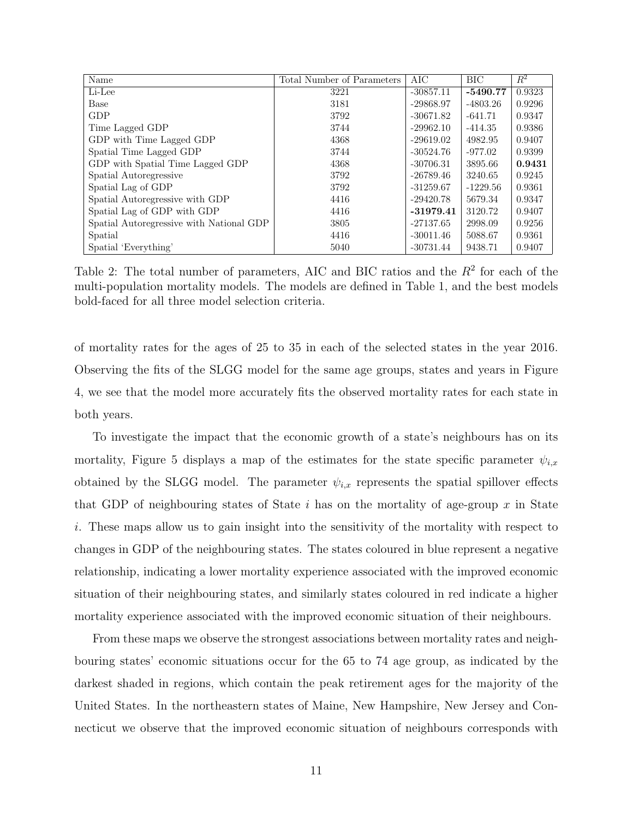| Name                                     | Total Number of Parameters | AIC         | BIC        | $R^2$  |
|------------------------------------------|----------------------------|-------------|------------|--------|
| Li-Lee                                   | 3221                       | $-30857.11$ | $-5490.77$ | 0.9323 |
| Base                                     | 3181                       | $-29868.97$ | $-4803.26$ | 0.9296 |
| <b>GDP</b>                               | 3792                       | $-30671.82$ | $-641.71$  | 0.9347 |
| Time Lagged GDP                          | 3744                       | $-29962.10$ | $-414.35$  | 0.9386 |
| GDP with Time Lagged GDP                 | 4368                       | $-29619.02$ | 4982.95    | 0.9407 |
| Spatial Time Lagged GDP                  | 3744                       | $-30524.76$ | $-977.02$  | 0.9399 |
| GDP with Spatial Time Lagged GDP         | 4368                       | $-30706.31$ | 3895.66    | 0.9431 |
| Spatial Autoregressive                   | 3792                       | $-26789.46$ | 3240.65    | 0.9245 |
| Spatial Lag of GDP                       | 3792                       | $-31259.67$ | $-1229.56$ | 0.9361 |
| Spatial Autoregressive with GDP          | 4416                       | $-29420.78$ | 5679.34    | 0.9347 |
| Spatial Lag of GDP with GDP              | 4416                       | $-31979.41$ | 3120.72    | 0.9407 |
| Spatial Autoregressive with National GDP | 3805                       | $-27137.65$ | 2998.09    | 0.9256 |
| Spatial                                  | 4416                       | $-30011.46$ | 5088.67    | 0.9361 |
| Spatial 'Everything'                     | 5040                       | $-30731.44$ | 9438.71    | 0.9407 |

Table 2: The total number of parameters, AIC and BIC ratios and the  $R<sup>2</sup>$  for each of the multi-population mortality models. The models are defined in Table 1, and the best models bold-faced for all three model selection criteria.

of mortality rates for the ages of 25 to 35 in each of the selected states in the year 2016. Observing the fits of the SLGG model for the same age groups, states and years in Figure 4, we see that the model more accurately fits the observed mortality rates for each state in both years.

To investigate the impact that the economic growth of a state's neighbours has on its mortality, Figure 5 displays a map of the estimates for the state specific parameter  $\psi_{i,x}$ obtained by the SLGG model. The parameter  $\psi_{i,x}$  represents the spatial spillover effects that GDP of neighbouring states of State  $i$  has on the mortality of age-group  $x$  in State i. These maps allow us to gain insight into the sensitivity of the mortality with respect to changes in GDP of the neighbouring states. The states coloured in blue represent a negative relationship, indicating a lower mortality experience associated with the improved economic situation of their neighbouring states, and similarly states coloured in red indicate a higher mortality experience associated with the improved economic situation of their neighbours.

From these maps we observe the strongest associations between mortality rates and neighbouring states' economic situations occur for the 65 to 74 age group, as indicated by the darkest shaded in regions, which contain the peak retirement ages for the majority of the United States. In the northeastern states of Maine, New Hampshire, New Jersey and Connecticut we observe that the improved economic situation of neighbours corresponds with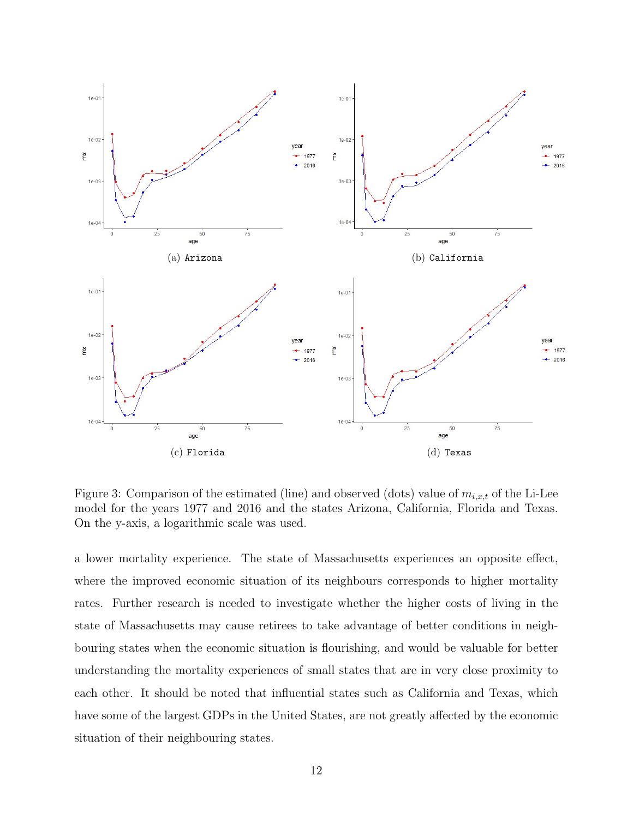

Figure 3: Comparison of the estimated (line) and observed (dots) value of  $m_{i,x,t}$  of the Li-Lee model for the years 1977 and 2016 and the states Arizona, California, Florida and Texas. On the y-axis, a logarithmic scale was used.

a lower mortality experience. The state of Massachusetts experiences an opposite effect, where the improved economic situation of its neighbours corresponds to higher mortality rates. Further research is needed to investigate whether the higher costs of living in the state of Massachusetts may cause retirees to take advantage of better conditions in neighbouring states when the economic situation is flourishing, and would be valuable for better understanding the mortality experiences of small states that are in very close proximity to each other. It should be noted that influential states such as California and Texas, which have some of the largest GDPs in the United States, are not greatly affected by the economic situation of their neighbouring states.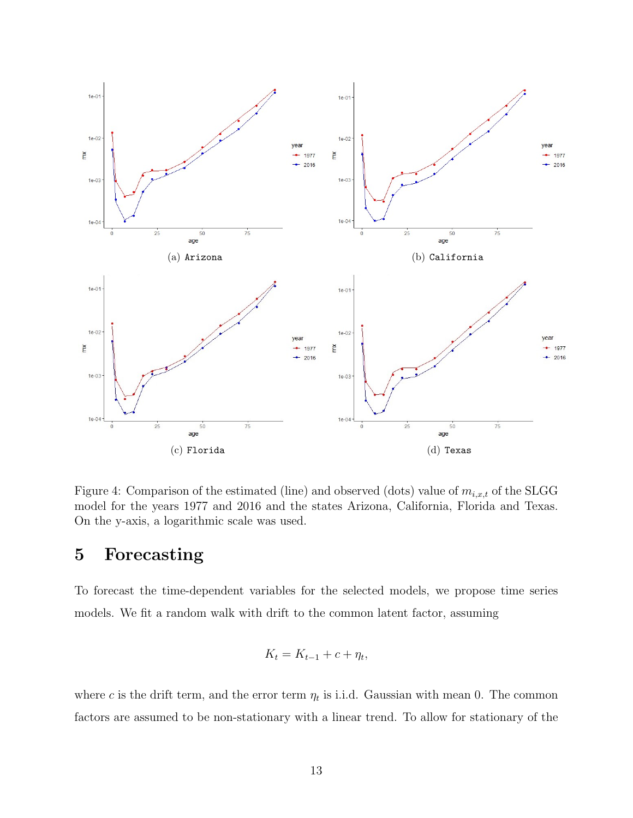

Figure 4: Comparison of the estimated (line) and observed (dots) value of  $m_{i,x,t}$  of the SLGG model for the years 1977 and 2016 and the states Arizona, California, Florida and Texas. On the y-axis, a logarithmic scale was used.

#### 5 Forecasting

To forecast the time-dependent variables for the selected models, we propose time series models. We fit a random walk with drift to the common latent factor, assuming

$$
K_t = K_{t-1} + c + \eta_t,
$$

where c is the drift term, and the error term  $\eta_t$  is i.i.d. Gaussian with mean 0. The common factors are assumed to be non-stationary with a linear trend. To allow for stationary of the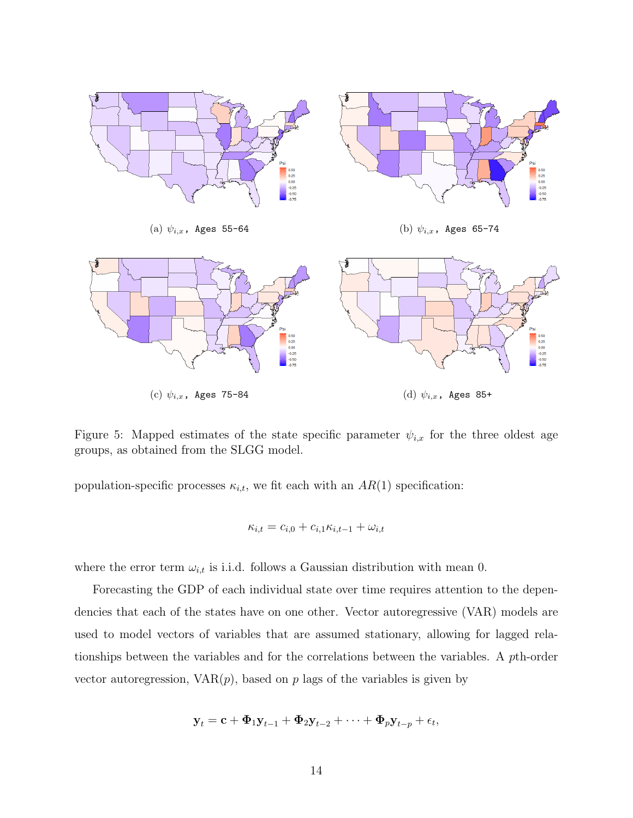

Figure 5: Mapped estimates of the state specific parameter  $\psi_{i,x}$  for the three oldest age groups, as obtained from the SLGG model.

population-specific processes  $\kappa_{i,t}$ , we fit each with an  $AR(1)$  specification:

$$
\kappa_{i,t} = c_{i,0} + c_{i,1}\kappa_{i,t-1} + \omega_{i,t}
$$

where the error term  $\omega_{i,t}$  is i.i.d. follows a Gaussian distribution with mean 0.

Forecasting the GDP of each individual state over time requires attention to the dependencies that each of the states have on one other. Vector autoregressive (VAR) models are used to model vectors of variables that are assumed stationary, allowing for lagged relationships between the variables and for the correlations between the variables. A pth-order vector autoregression,  $VAR(p)$ , based on p lags of the variables is given by

$$
\mathbf{y}_t = \mathbf{c} + \mathbf{\Phi}_1 \mathbf{y}_{t-1} + \mathbf{\Phi}_2 \mathbf{y}_{t-2} + \cdots + \mathbf{\Phi}_p \mathbf{y}_{t-p} + \epsilon_t,
$$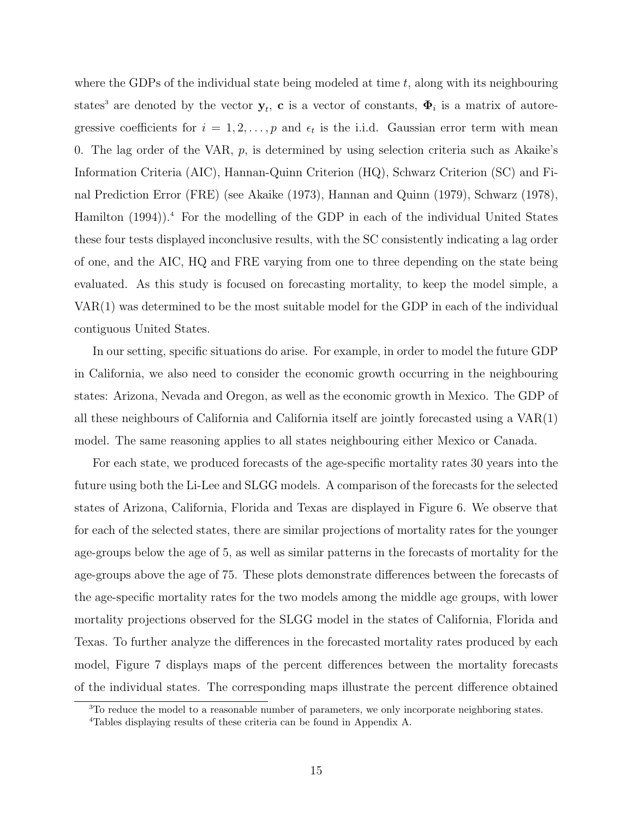where the GDPs of the individual state being modeled at time  $t$ , along with its neighbouring states<sup>3</sup> are denoted by the vector  $y_t$ , c is a vector of constants,  $\Phi_i$  is a matrix of autoregressive coefficients for  $i = 1, 2, ..., p$  and  $\epsilon_t$  is the i.i.d. Gaussian error term with mean 0. The lag order of the VAR, p, is determined by using selection criteria such as Akaike's Information Criteria (AIC), Hannan-Quinn Criterion (HQ), Schwarz Criterion (SC) and Final Prediction Error (FRE) (see Akaike (1973), Hannan and Quinn (1979), Schwarz (1978), Hamilton  $(1994)$ .<sup>4</sup> For the modelling of the GDP in each of the individual United States these four tests displayed inconclusive results, with the SC consistently indicating a lag order of one, and the AIC, HQ and FRE varying from one to three depending on the state being evaluated. As this study is focused on forecasting mortality, to keep the model simple, a VAR(1) was determined to be the most suitable model for the GDP in each of the individual contiguous United States.

In our setting, specific situations do arise. For example, in order to model the future GDP in California, we also need to consider the economic growth occurring in the neighbouring states: Arizona, Nevada and Oregon, as well as the economic growth in Mexico. The GDP of all these neighbours of California and California itself are jointly forecasted using a VAR(1) model. The same reasoning applies to all states neighbouring either Mexico or Canada.

For each state, we produced forecasts of the age-specific mortality rates 30 years into the future using both the Li-Lee and SLGG models. A comparison of the forecasts for the selected states of Arizona, California, Florida and Texas are displayed in Figure 6. We observe that for each of the selected states, there are similar projections of mortality rates for the younger age-groups below the age of 5, as well as similar patterns in the forecasts of mortality for the age-groups above the age of 75. These plots demonstrate differences between the forecasts of the age-specific mortality rates for the two models among the middle age groups, with lower mortality projections observed for the SLGG model in the states of California, Florida and Texas. To further analyze the differences in the forecasted mortality rates produced by each model, Figure 7 displays maps of the percent differences between the mortality forecasts of the individual states. The corresponding maps illustrate the percent difference obtained

<sup>&</sup>lt;sup>3</sup>To reduce the model to a reasonable number of parameters, we only incorporate neighboring states.

<sup>4</sup>Tables displaying results of these criteria can be found in Appendix A.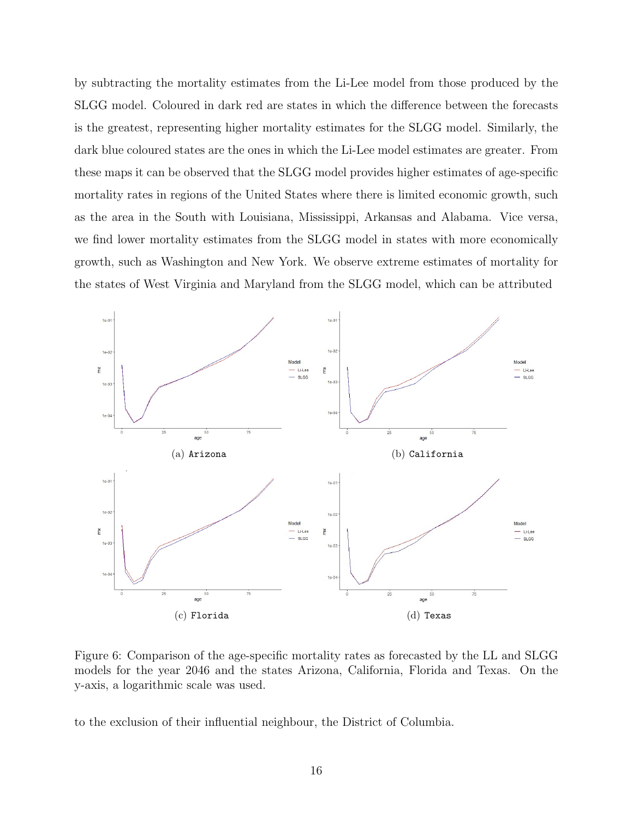by subtracting the mortality estimates from the Li-Lee model from those produced by the SLGG model. Coloured in dark red are states in which the difference between the forecasts is the greatest, representing higher mortality estimates for the SLGG model. Similarly, the dark blue coloured states are the ones in which the Li-Lee model estimates are greater. From these maps it can be observed that the SLGG model provides higher estimates of age-specific mortality rates in regions of the United States where there is limited economic growth, such as the area in the South with Louisiana, Mississippi, Arkansas and Alabama. Vice versa, we find lower mortality estimates from the SLGG model in states with more economically growth, such as Washington and New York. We observe extreme estimates of mortality for the states of West Virginia and Maryland from the SLGG model, which can be attributed



Figure 6: Comparison of the age-specific mortality rates as forecasted by the LL and SLGG models for the year 2046 and the states Arizona, California, Florida and Texas. On the y-axis, a logarithmic scale was used.

to the exclusion of their influential neighbour, the District of Columbia.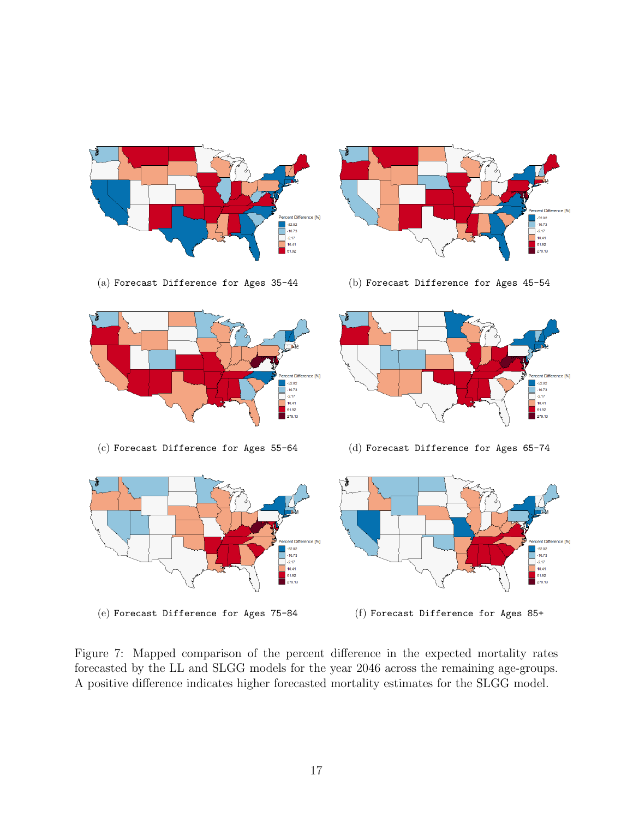

![](_page_16_Figure_3.jpeg)

ent Difference [%]

 $-52.02$ <br> $-10.73$ <br> $-2.17$ <br> $10.41$ 

61.92<br>279.13

![](_page_16_Figure_4.jpeg)

![](_page_16_Figure_6.jpeg)

(c) Forecast Difference for Ages 55-64 (d) Forecast Difference for Ages 65-74

![](_page_16_Figure_8.jpeg)

Figure 7: Mapped comparison of the percent difference in the expected mortality rates forecasted by the LL and SLGG models for the year 2046 across the remaining age-groups. A positive difference indicates higher forecasted mortality estimates for the SLGG model.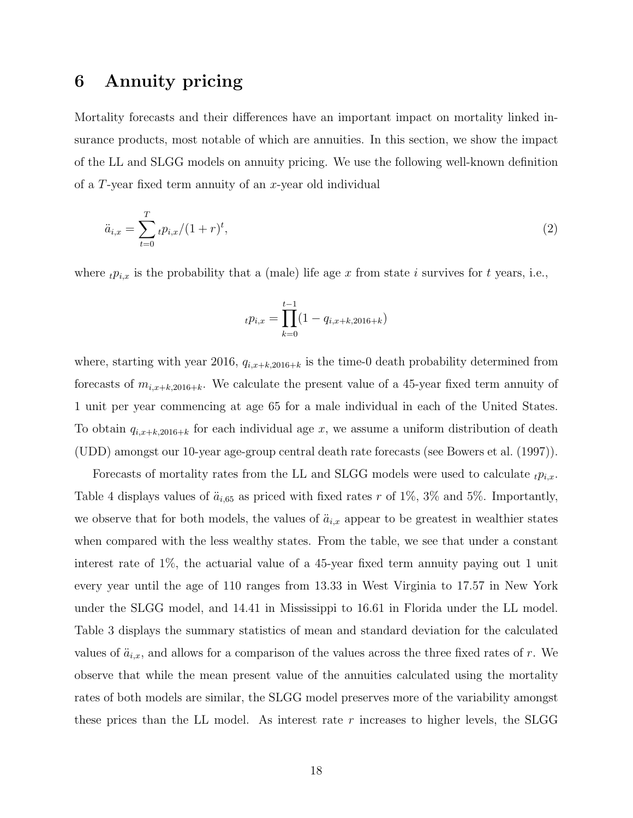#### 6 Annuity pricing

Mortality forecasts and their differences have an important impact on mortality linked insurance products, most notable of which are annuities. In this section, we show the impact of the LL and SLGG models on annuity pricing. We use the following well-known definition of a T-year fixed term annuity of an x-year old individual

$$
\ddot{a}_{i,x} = \sum_{t=0}^{T} t p_{i,x} / (1+r)^t,
$$
\n(2)

where  $_t p_{i,x}$  is the probability that a (male) life age x from state i survives for t years, i.e.,

$$
_{t}p_{i,x} = \prod_{k=0}^{t-1} (1 - q_{i,x+k,2016+k})
$$

where, starting with year 2016,  $q_{i,x+k,2016+k}$  is the time-0 death probability determined from forecasts of  $m_{i,x+k,2016+k}$ . We calculate the present value of a 45-year fixed term annuity of 1 unit per year commencing at age 65 for a male individual in each of the United States. To obtain  $q_{i,x+k,2016+k}$  for each individual age x, we assume a uniform distribution of death (UDD) amongst our 10-year age-group central death rate forecasts (see Bowers et al. (1997)).

Forecasts of mortality rates from the LL and SLGG models were used to calculate  $_{t}p_{i,x}$ . Table 4 displays values of  $\ddot{a}_{i,65}$  as priced with fixed rates r of 1%, 3% and 5%. Importantly, we observe that for both models, the values of  $\ddot{a}_{i,x}$  appear to be greatest in wealthier states when compared with the less wealthy states. From the table, we see that under a constant interest rate of 1%, the actuarial value of a 45-year fixed term annuity paying out 1 unit every year until the age of 110 ranges from 13.33 in West Virginia to 17.57 in New York under the SLGG model, and 14.41 in Mississippi to 16.61 in Florida under the LL model. Table 3 displays the summary statistics of mean and standard deviation for the calculated values of  $\ddot{a}_{i,x}$ , and allows for a comparison of the values across the three fixed rates of r. We observe that while the mean present value of the annuities calculated using the mortality rates of both models are similar, the SLGG model preserves more of the variability amongst these prices than the LL model. As interest rate  $r$  increases to higher levels, the SLGG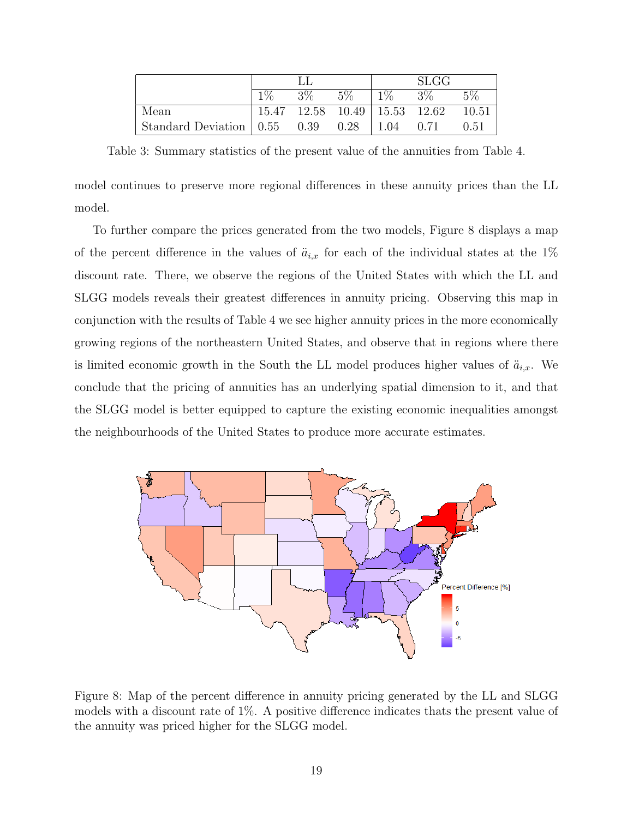|                           |       |       |                                   |       | <b>SLGG</b> |       |
|---------------------------|-------|-------|-----------------------------------|-------|-------------|-------|
|                           | $1\%$ | $3\%$ | $5\%$                             | $1\%$ | $3\%$       | $5\%$ |
| Mean                      | 15.47 |       | $12.58$ $10.49$   $15.53$ $12.62$ |       |             | 10.51 |
| Standard Deviation   0.55 |       | 0.39  | 0.28                              | 1.04  | 0.71        | 0.51  |

Table 3: Summary statistics of the present value of the annuities from Table 4.

model continues to preserve more regional differences in these annuity prices than the LL model.

To further compare the prices generated from the two models, Figure 8 displays a map of the percent difference in the values of  $\ddot{a}_{i,x}$  for each of the individual states at the 1% discount rate. There, we observe the regions of the United States with which the LL and SLGG models reveals their greatest differences in annuity pricing. Observing this map in conjunction with the results of Table 4 we see higher annuity prices in the more economically growing regions of the northeastern United States, and observe that in regions where there is limited economic growth in the South the LL model produces higher values of  $\ddot{a}_{i,x}$ . We conclude that the pricing of annuities has an underlying spatial dimension to it, and that the SLGG model is better equipped to capture the existing economic inequalities amongst the neighbourhoods of the United States to produce more accurate estimates.

![](_page_18_Figure_4.jpeg)

Figure 8: Map of the percent difference in annuity pricing generated by the LL and SLGG models with a discount rate of 1%. A positive difference indicates thats the present value of the annuity was priced higher for the SLGG model.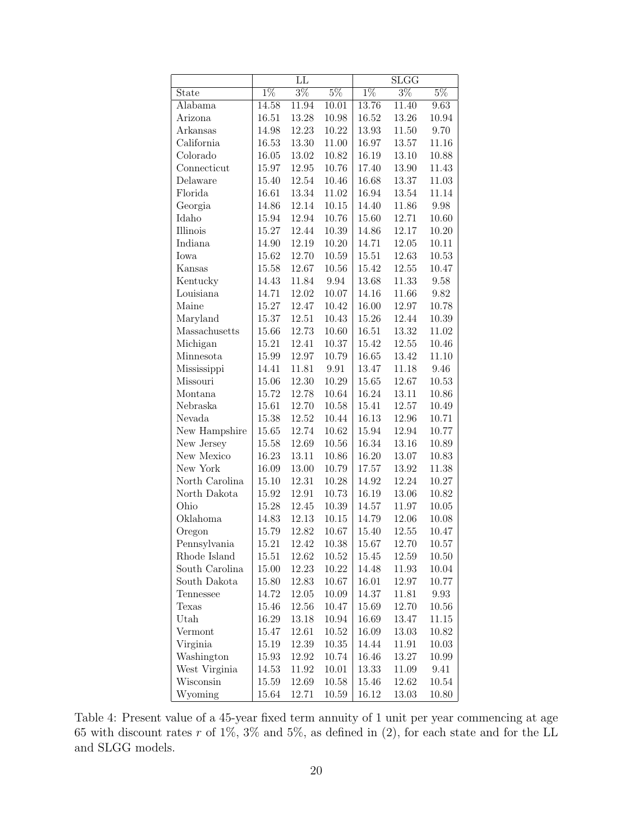|                | LL        |           |                | $\overline{\mathrm{SLGG}}$ |           |           |  |
|----------------|-----------|-----------|----------------|----------------------------|-----------|-----------|--|
| <b>State</b>   | $1\%$     | $3\%$     | $5\%$          | $1\%$                      | $3\%$     | $5\%$     |  |
| Alabama        | 14.58     | 11.94     | 10.01          | 13.76                      | 11.40     | 9.63      |  |
| Arizona        | 16.51     | 13.28     | 10.98          | 16.52                      | 13.26     | 10.94     |  |
| Arkansas       | 14.98     | 12.23     | 10.22          | 13.93                      | 11.50     | 9.70      |  |
| California     | 16.53     | 13.30     | $11.00\,$      | 16.97                      | 13.57     | $11.16\,$ |  |
| Colorado       | 16.05     | 13.02     | 10.82          | 16.19                      | $13.10\,$ | 10.88     |  |
| Connecticut    | 15.97     | 12.95     | 10.76          | 17.40                      | 13.90     | 11.43     |  |
| Delaware       | 15.40     | 12.54     | 10.46          | 16.68                      | 13.37     | 11.03     |  |
| Florida        | 16.61     | 13.34     | 11.02          | 16.94                      | 13.54     | 11.14     |  |
| Georgia        | 14.86     | 12.14     | 10.15          | 14.40                      | 11.86     | 9.98      |  |
| Idaho          | 15.94     | 12.94     | 10.76          | $15.60\,$                  | 12.71     | $10.60\,$ |  |
| Illinois       | 15.27     | 12.44     | 10.39          | 14.86                      | 12.17     | 10.20     |  |
| Indiana        | 14.90     | 12.19     | 10.20          | 14.71                      | 12.05     | $10.11\,$ |  |
| Iowa           | 15.62     | 12.70     | $10.59\,$      | 15.51                      | $12.63\,$ | $10.53\,$ |  |
| Kansas         | 15.58     | 12.67     | $10.56\,$      | $15.42\,$                  | $12.55\,$ | $10.47\,$ |  |
| Kentucky       | 14.43     | 11.84     | 9.94           | 13.68                      | $11.33\,$ | $9.58\,$  |  |
| Louisiana      | 14.71     | $12.02\,$ | 10.07          | 14.16                      | 11.66     | 9.82      |  |
| Maine          | 15.27     | 12.47     | 10.42          | 16.00                      | 12.97     | 10.78     |  |
| Maryland       | 15.37     | $12.51\,$ | 10.43          | 15.26                      | 12.44     | $10.39\,$ |  |
| Massachusetts  | 15.66     | 12.73     | $10.60\,$      | 16.51                      | 13.32     | 11.02     |  |
| Michigan       | 15.21     | 12.41     | 10.37          | 15.42                      | $12.55\,$ | 10.46     |  |
| Minnesota      | 15.99     | 12.97     | 10.79          | 16.65                      | 13.42     | 11.10     |  |
| Mississippi    | 14.41     | 11.81     | 9.91           | 13.47                      | 11.18     | 9.46      |  |
| Missouri       | 15.06     | $12.30\,$ | 10.29          | $15.65\,$                  | 12.67     | $10.53\,$ |  |
| Montana        | 15.72     | 12.78     | $10.64\,$      | 16.24                      | $13.11\,$ | 10.86     |  |
| Nebraska       | 15.61     | 12.70     | $10.58\,$      | 15.41                      | $12.57\,$ | 10.49     |  |
| Nevada         | 15.38     | 12.52     | 10.44          | 16.13                      | 12.96     | 10.71     |  |
| New Hampshire  | $15.65\,$ | 12.74     | 10.62          | 15.94                      | 12.94     | 10.77     |  |
| New Jersey     | 15.58     | 12.69     | $10.56\,$      | 16.34                      | $13.16\,$ | $10.89\,$ |  |
| New Mexico     | 16.23     | 13.11     | 10.86          | 16.20                      | 13.07     | 10.83     |  |
| New York       | 16.09     | 13.00     | 10.79          | 17.57                      | 13.92     | 11.38     |  |
| North Carolina | 15.10     | 12.31     | 10.28          | 14.92                      | 12.24     | $10.27\,$ |  |
| North Dakota   | 15.92     | 12.91     | 10.73          | 16.19                      | 13.06     | 10.82     |  |
| Ohio           | 15.28     | 12.45     | 10.39          | 14.57                      | 11.97     | 10.05     |  |
| Oklahoma       | 14.83     | 12.13     | 10.15          | 14.79                      | 12.06     | 10.08     |  |
| Oregon         | 15.79     | 12.82     | 10.67          | 15.40                      | 12.55     | 10.47     |  |
| Pennsylvania   | 15.21     | 12.42     | 10.38          | 15.67                      | 12.70     | 10.57     |  |
| Rhode Island   | 15.51     | 12.62     | 10.52          | 15.45                      | 12.59     | 10.50     |  |
| South Carolina | 15.00     | 12.23     | 10.22          | 14.48                      | 11.93     | 10.04     |  |
| South Dakota   | 15.80     | 12.83     | 10.67          | 16.01                      | 12.97     | 10.77     |  |
| Tennessee      | 14.72     | 12.05     | 10.09          | 14.37                      | 11.81     | 9.93      |  |
| Texas          | 15.46     | 12.56     | 10.47          | 15.69                      | 12.70     | 10.56     |  |
| Utah           | 16.29     | 13.18     | 10.94          | 16.69                      | 13.47     | 11.15     |  |
| Vermont        | 15.47     | 12.61     | 10.52          | 16.09                      | 13.03     | 10.82     |  |
| Virginia       | 15.19     | 12.39     | 10.35          | 14.44                      | $11.91\,$ | 10.03     |  |
| Washington     | 15.93     | 12.92     | 10.74          | 16.46                      | 13.27     | 10.99     |  |
| West Virginia  | 14.53     | 11.92     | 10.01          | 13.33                      | 11.09     | 9.41      |  |
| Wisconsin      | 15.59     | 12.69     | 10.58<br>10.59 | 15.46                      | 12.62     | 10.54     |  |
| Wyoming        | 15.64     | 12.71     |                | 16.12                      | 13.03     | 10.80     |  |

Table 4: Present value of a 45-year fixed term annuity of 1 unit per year commencing at age 65 with discount rates  $r$  of 1%, 3% and 5%, as defined in (2), for each state and for the LL and SLGG models.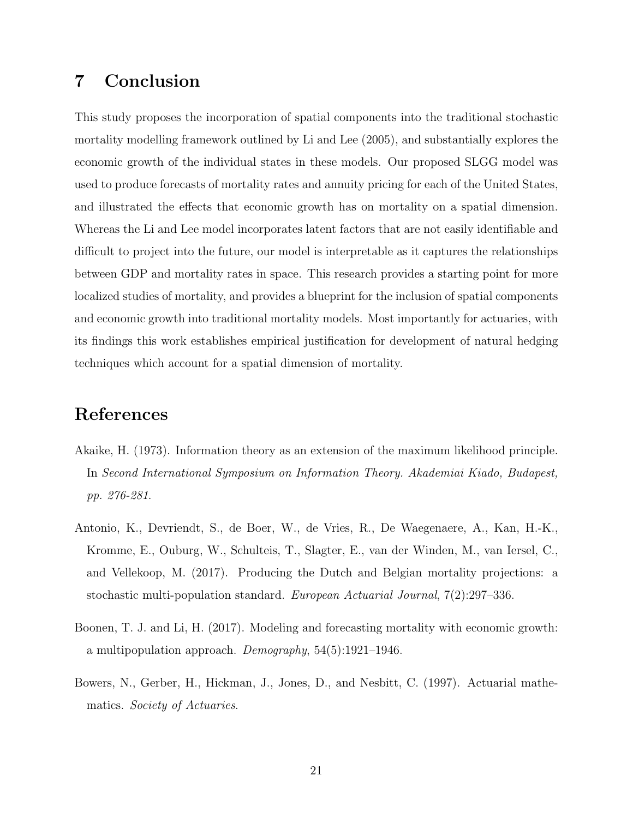### 7 Conclusion

This study proposes the incorporation of spatial components into the traditional stochastic mortality modelling framework outlined by Li and Lee (2005), and substantially explores the economic growth of the individual states in these models. Our proposed SLGG model was used to produce forecasts of mortality rates and annuity pricing for each of the United States, and illustrated the effects that economic growth has on mortality on a spatial dimension. Whereas the Li and Lee model incorporates latent factors that are not easily identifiable and difficult to project into the future, our model is interpretable as it captures the relationships between GDP and mortality rates in space. This research provides a starting point for more localized studies of mortality, and provides a blueprint for the inclusion of spatial components and economic growth into traditional mortality models. Most importantly for actuaries, with its findings this work establishes empirical justification for development of natural hedging techniques which account for a spatial dimension of mortality.

#### References

- Akaike, H. (1973). Information theory as an extension of the maximum likelihood principle. In Second International Symposium on Information Theory. Akademiai Kiado, Budapest, pp. 276-281.
- Antonio, K., Devriendt, S., de Boer, W., de Vries, R., De Waegenaere, A., Kan, H.-K., Kromme, E., Ouburg, W., Schulteis, T., Slagter, E., van der Winden, M., van Iersel, C., and Vellekoop, M. (2017). Producing the Dutch and Belgian mortality projections: a stochastic multi-population standard. European Actuarial Journal, 7(2):297–336.
- Boonen, T. J. and Li, H. (2017). Modeling and forecasting mortality with economic growth: a multipopulation approach. Demography,  $54(5):1921-1946$ .
- Bowers, N., Gerber, H., Hickman, J., Jones, D., and Nesbitt, C. (1997). Actuarial mathematics. Society of Actuaries.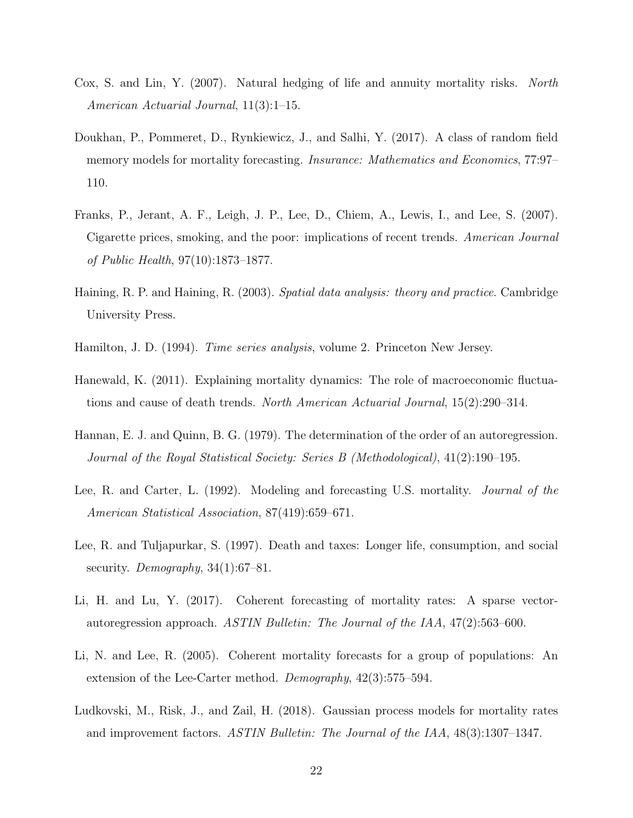- Cox, S. and Lin, Y. (2007). Natural hedging of life and annuity mortality risks. North American Actuarial Journal, 11(3):1–15.
- Doukhan, P., Pommeret, D., Rynkiewicz, J., and Salhi, Y. (2017). A class of random field memory models for mortality forecasting. Insurance: Mathematics and Economics, 77:97– 110.
- Franks, P., Jerant, A. F., Leigh, J. P., Lee, D., Chiem, A., Lewis, I., and Lee, S. (2007). Cigarette prices, smoking, and the poor: implications of recent trends. American Journal of Public Health, 97(10):1873–1877.
- Haining, R. P. and Haining, R. (2003). Spatial data analysis: theory and practice. Cambridge University Press.
- Hamilton, J. D. (1994). *Time series analysis*, volume 2. Princeton New Jersey.
- Hanewald, K. (2011). Explaining mortality dynamics: The role of macroeconomic fluctuations and cause of death trends. North American Actuarial Journal, 15(2):290–314.
- Hannan, E. J. and Quinn, B. G. (1979). The determination of the order of an autoregression. Journal of the Royal Statistical Society: Series B (Methodological), 41(2):190–195.
- Lee, R. and Carter, L. (1992). Modeling and forecasting U.S. mortality. Journal of the American Statistical Association, 87(419):659–671.
- Lee, R. and Tuljapurkar, S. (1997). Death and taxes: Longer life, consumption, and social security. Demography,  $34(1):67-81$ .
- Li, H. and Lu, Y. (2017). Coherent forecasting of mortality rates: A sparse vectorautoregression approach. ASTIN Bulletin: The Journal of the IAA, 47(2):563–600.
- Li, N. and Lee, R. (2005). Coherent mortality forecasts for a group of populations: An extension of the Lee-Carter method. Demography, 42(3):575–594.
- Ludkovski, M., Risk, J., and Zail, H. (2018). Gaussian process models for mortality rates and improvement factors. ASTIN Bulletin: The Journal of the IAA, 48(3):1307–1347.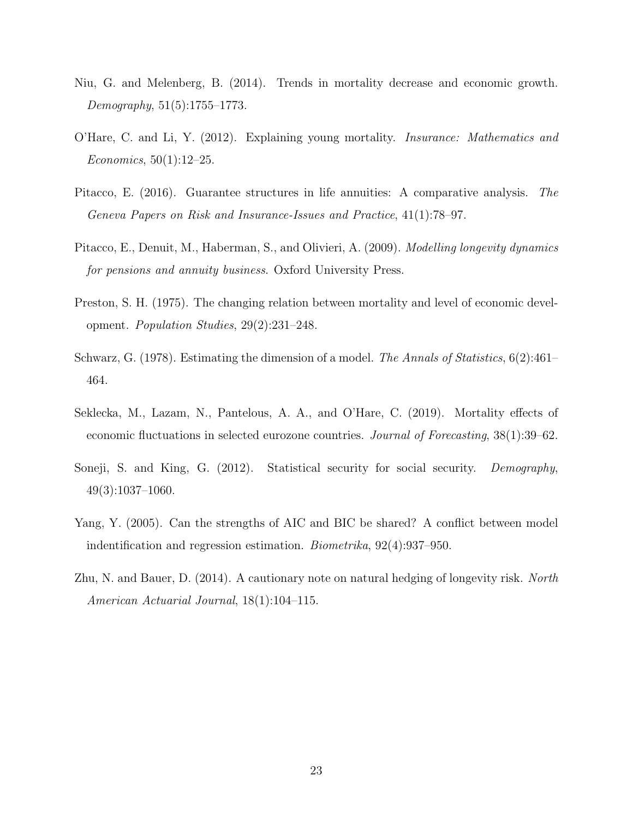- Niu, G. and Melenberg, B. (2014). Trends in mortality decrease and economic growth. Demography, 51(5):1755–1773.
- O'Hare, C. and Li, Y. (2012). Explaining young mortality. Insurance: Mathematics and Economics, 50(1):12–25.
- Pitacco, E. (2016). Guarantee structures in life annuities: A comparative analysis. The Geneva Papers on Risk and Insurance-Issues and Practice, 41(1):78–97.
- Pitacco, E., Denuit, M., Haberman, S., and Olivieri, A. (2009). *Modelling longevity dynamics* for pensions and annuity business. Oxford University Press.
- Preston, S. H. (1975). The changing relation between mortality and level of economic development. Population Studies, 29(2):231–248.
- Schwarz, G. (1978). Estimating the dimension of a model. The Annals of Statistics, 6(2):461– 464.
- Seklecka, M., Lazam, N., Pantelous, A. A., and O'Hare, C. (2019). Mortality effects of economic fluctuations in selected eurozone countries. Journal of Forecasting, 38(1):39–62.
- Soneji, S. and King, G. (2012). Statistical security for social security. Demography, 49(3):1037–1060.
- Yang, Y. (2005). Can the strengths of AIC and BIC be shared? A conflict between model indentification and regression estimation. Biometrika, 92(4):937–950.
- Zhu, N. and Bauer, D. (2014). A cautionary note on natural hedging of longevity risk. North American Actuarial Journal, 18(1):104–115.